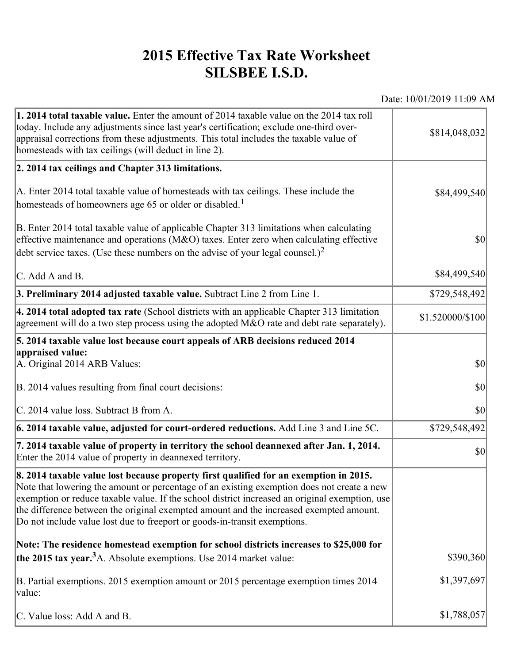## **2015 Effective Tax Rate Worksheet SILSBEE I.S.D.**

Date: 10/01/2019 11:09 AM

| 1. 2014 total taxable value. Enter the amount of 2014 taxable value on the 2014 tax roll<br>today. Include any adjustments since last year's certification; exclude one-third over-<br>appraisal corrections from these adjustments. This total includes the taxable value of<br>homesteads with tax ceilings (will deduct in line 2).                                                                                                                       | \$814,048,032    |
|--------------------------------------------------------------------------------------------------------------------------------------------------------------------------------------------------------------------------------------------------------------------------------------------------------------------------------------------------------------------------------------------------------------------------------------------------------------|------------------|
| 2. 2014 tax ceilings and Chapter 313 limitations.                                                                                                                                                                                                                                                                                                                                                                                                            |                  |
| A. Enter 2014 total taxable value of homesteads with tax ceilings. These include the<br>homesteads of homeowners age 65 or older or disabled. <sup>1</sup>                                                                                                                                                                                                                                                                                                   | \$84,499,540     |
| B. Enter 2014 total taxable value of applicable Chapter 313 limitations when calculating<br>effective maintenance and operations ( $M&O$ ) taxes. Enter zero when calculating effective<br>debt service taxes. (Use these numbers on the advise of your legal counsel.) <sup>2</sup>                                                                                                                                                                         | $ 10\rangle$     |
| C. Add A and B.                                                                                                                                                                                                                                                                                                                                                                                                                                              | \$84,499,540     |
| 3. Preliminary 2014 adjusted taxable value. Subtract Line 2 from Line 1.                                                                                                                                                                                                                                                                                                                                                                                     | \$729,548,492    |
| $\vert$ 4. 2014 total adopted tax rate (School districts with an applicable Chapter 313 limitation<br>agreement will do a two step process using the adopted $M&O$ rate and debt rate separately).                                                                                                                                                                                                                                                           | \$1.520000/\$100 |
| 5. 2014 taxable value lost because court appeals of ARB decisions reduced 2014                                                                                                                                                                                                                                                                                                                                                                               |                  |
| appraised value:<br>A. Original 2014 ARB Values:                                                                                                                                                                                                                                                                                                                                                                                                             | $ 10\rangle$     |
| B. 2014 values resulting from final court decisions:                                                                                                                                                                                                                                                                                                                                                                                                         | \$0              |
| C. 2014 value loss. Subtract B from A.                                                                                                                                                                                                                                                                                                                                                                                                                       | \$0              |
| 6. 2014 taxable value, adjusted for court-ordered reductions. Add Line 3 and Line 5C.                                                                                                                                                                                                                                                                                                                                                                        | \$729,548,492    |
| 7. 2014 taxable value of property in territory the school deannexed after Jan. 1, 2014.<br>Enter the 2014 value of property in deannexed territory.                                                                                                                                                                                                                                                                                                          | $ 10\rangle$     |
| 8. 2014 taxable value lost because property first qualified for an exemption in 2015.<br>Note that lowering the amount or percentage of an existing exemption does not create a new<br>exemption or reduce taxable value. If the school district increased an original exemption, use<br>the difference between the original exempted amount and the increased exempted amount.<br>Do not include value lost due to freeport or goods-in-transit exemptions. |                  |
| Note: The residence homestead exemption for school districts increases to \$25,000 for                                                                                                                                                                                                                                                                                                                                                                       |                  |
| the 2015 tax year. <sup>3</sup> A. Absolute exemptions. Use 2014 market value:                                                                                                                                                                                                                                                                                                                                                                               | \$390,360        |
| B. Partial exemptions. 2015 exemption amount or 2015 percentage exemption times 2014<br>value:                                                                                                                                                                                                                                                                                                                                                               | \$1,397,697      |
| C. Value loss: Add A and B.                                                                                                                                                                                                                                                                                                                                                                                                                                  | \$1,788,057      |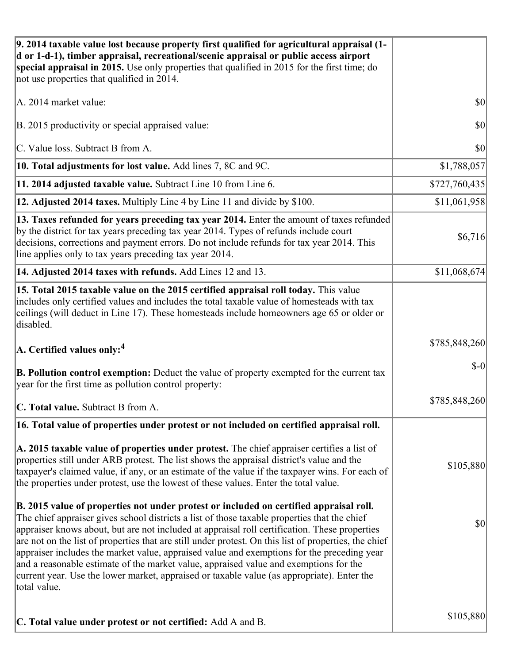| 9. 2014 taxable value lost because property first qualified for agricultural appraisal (1-<br>d or 1-d-1), timber appraisal, recreational/scenic appraisal or public access airport<br>special appraisal in 2015. Use only properties that qualified in 2015 for the first time; do<br>not use properties that qualified in 2014.                                                                                                                                                                                                                                                                                                                                                                     |               |
|-------------------------------------------------------------------------------------------------------------------------------------------------------------------------------------------------------------------------------------------------------------------------------------------------------------------------------------------------------------------------------------------------------------------------------------------------------------------------------------------------------------------------------------------------------------------------------------------------------------------------------------------------------------------------------------------------------|---------------|
| A. 2014 market value:                                                                                                                                                                                                                                                                                                                                                                                                                                                                                                                                                                                                                                                                                 | \$0           |
| B. 2015 productivity or special appraised value:                                                                                                                                                                                                                                                                                                                                                                                                                                                                                                                                                                                                                                                      | 30            |
| C. Value loss. Subtract B from A.                                                                                                                                                                                                                                                                                                                                                                                                                                                                                                                                                                                                                                                                     | \$0           |
| 10. Total adjustments for lost value. Add lines 7, 8C and 9C.                                                                                                                                                                                                                                                                                                                                                                                                                                                                                                                                                                                                                                         | \$1,788,057   |
| 11. 2014 adjusted taxable value. Subtract Line 10 from Line 6.                                                                                                                                                                                                                                                                                                                                                                                                                                                                                                                                                                                                                                        | \$727,760,435 |
| 12. Adjusted 2014 taxes. Multiply Line 4 by Line 11 and divide by \$100.                                                                                                                                                                                                                                                                                                                                                                                                                                                                                                                                                                                                                              | \$11,061,958  |
| 13. Taxes refunded for years preceding tax year 2014. Enter the amount of taxes refunded<br>by the district for tax years preceding tax year 2014. Types of refunds include court<br>decisions, corrections and payment errors. Do not include refunds for tax year 2014. This<br>line applies only to tax years preceding tax year 2014.                                                                                                                                                                                                                                                                                                                                                             | \$6,716       |
| 14. Adjusted 2014 taxes with refunds. Add Lines 12 and 13.                                                                                                                                                                                                                                                                                                                                                                                                                                                                                                                                                                                                                                            | \$11,068,674  |
| 15. Total 2015 taxable value on the 2015 certified appraisal roll today. This value<br>includes only certified values and includes the total taxable value of homesteads with tax<br>ceilings (will deduct in Line 17). These homesteads include homeowners age 65 or older or<br>disabled.                                                                                                                                                                                                                                                                                                                                                                                                           |               |
| $\vert$ A. Certified values only: <sup>4</sup>                                                                                                                                                                                                                                                                                                                                                                                                                                                                                                                                                                                                                                                        | \$785,848,260 |
| <b>B. Pollution control exemption:</b> Deduct the value of property exempted for the current tax<br>year for the first time as pollution control property:                                                                                                                                                                                                                                                                                                                                                                                                                                                                                                                                            | $S-0$         |
| C. Total value. Subtract B from A.                                                                                                                                                                                                                                                                                                                                                                                                                                                                                                                                                                                                                                                                    | \$785,848,260 |
| 16. Total value of properties under protest or not included on certified appraisal roll.                                                                                                                                                                                                                                                                                                                                                                                                                                                                                                                                                                                                              |               |
| A. 2015 taxable value of properties under protest. The chief appraiser certifies a list of<br>properties still under ARB protest. The list shows the appraisal district's value and the<br>taxpayer's claimed value, if any, or an estimate of the value if the taxpayer wins. For each of<br>the properties under protest, use the lowest of these values. Enter the total value.                                                                                                                                                                                                                                                                                                                    | \$105,880     |
| B. 2015 value of properties not under protest or included on certified appraisal roll.<br>The chief appraiser gives school districts a list of those taxable properties that the chief<br>appraiser knows about, but are not included at appraisal roll certification. These properties<br>are not on the list of properties that are still under protest. On this list of properties, the chief<br>appraiser includes the market value, appraised value and exemptions for the preceding year<br>and a reasonable estimate of the market value, appraised value and exemptions for the<br>current year. Use the lower market, appraised or taxable value (as appropriate). Enter the<br>total value. | \$0           |
| C. Total value under protest or not certified: Add A and B.                                                                                                                                                                                                                                                                                                                                                                                                                                                                                                                                                                                                                                           | \$105,880     |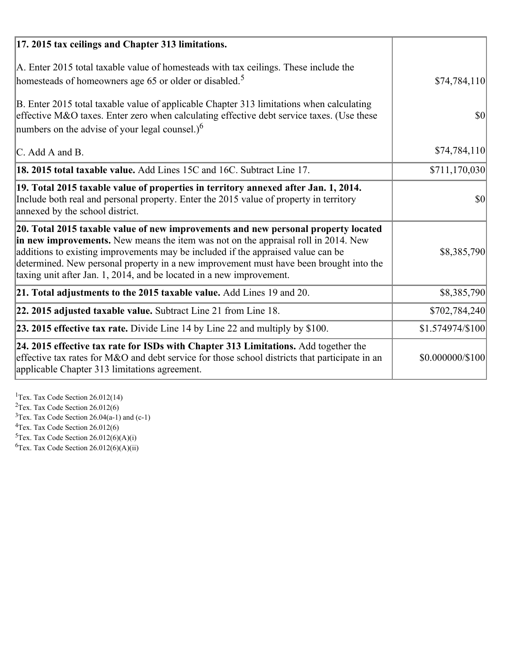| 17. 2015 tax ceilings and Chapter 313 limitations.                                                                                                                                                                                                                                                                                                                                                                             |                  |
|--------------------------------------------------------------------------------------------------------------------------------------------------------------------------------------------------------------------------------------------------------------------------------------------------------------------------------------------------------------------------------------------------------------------------------|------------------|
| A. Enter 2015 total taxable value of homesteads with tax ceilings. These include the<br>homesteads of homeowners age 65 or older or disabled. <sup>5</sup>                                                                                                                                                                                                                                                                     | \$74,784,110     |
| B. Enter 2015 total taxable value of applicable Chapter 313 limitations when calculating<br>effective M&O taxes. Enter zero when calculating effective debt service taxes. (Use these<br>numbers on the advise of your legal counsel.) $6$                                                                                                                                                                                     | $\vert$ \$0      |
| C. Add A and B.                                                                                                                                                                                                                                                                                                                                                                                                                | \$74,784,110     |
| 18. 2015 total taxable value. Add Lines 15C and 16C. Subtract Line 17.                                                                                                                                                                                                                                                                                                                                                         | \$711,170,030    |
| 19. Total 2015 taxable value of properties in territory annexed after Jan. 1, 2014.<br>Include both real and personal property. Enter the 2015 value of property in territory<br>annexed by the school district.                                                                                                                                                                                                               | 30               |
| 20. Total 2015 taxable value of new improvements and new personal property located<br>in new improvements. New means the item was not on the appraisal roll in 2014. New<br>additions to existing improvements may be included if the appraised value can be<br>determined. New personal property in a new improvement must have been brought into the<br>taxing unit after Jan. 1, 2014, and be located in a new improvement. | \$8,385,790      |
| 21. Total adjustments to the 2015 taxable value. Add Lines 19 and 20.                                                                                                                                                                                                                                                                                                                                                          | \$8,385,790      |
| $ 22.2015$ adjusted taxable value. Subtract Line 21 from Line 18.                                                                                                                                                                                                                                                                                                                                                              | \$702,784,240    |
| <b>23. 2015 effective tax rate.</b> Divide Line 14 by Line 22 and multiply by \$100.                                                                                                                                                                                                                                                                                                                                           | \$1.574974/\$100 |
| 24. 2015 effective tax rate for ISDs with Chapter 313 Limitations. Add together the<br>effective tax rates for M&O and debt service for those school districts that participate in an<br>applicable Chapter 313 limitations agreement.                                                                                                                                                                                         | \$0.000000/\$100 |

<sup>1</sup>Tex. Tax Code Section 26.012(14)  $2$ Tex. Tax Code Section 26.012(6)  $3$ Tex. Tax Code Section 26.04(a-1) and (c-1)  $4$ Tex. Tax Code Section 26.012(6)  ${}^{5}$ Tex. Tax Code Section 26.012(6)(A)(i)

 ${}^{6}$ Tex. Tax Code Section 26.012(6)(A)(ii)